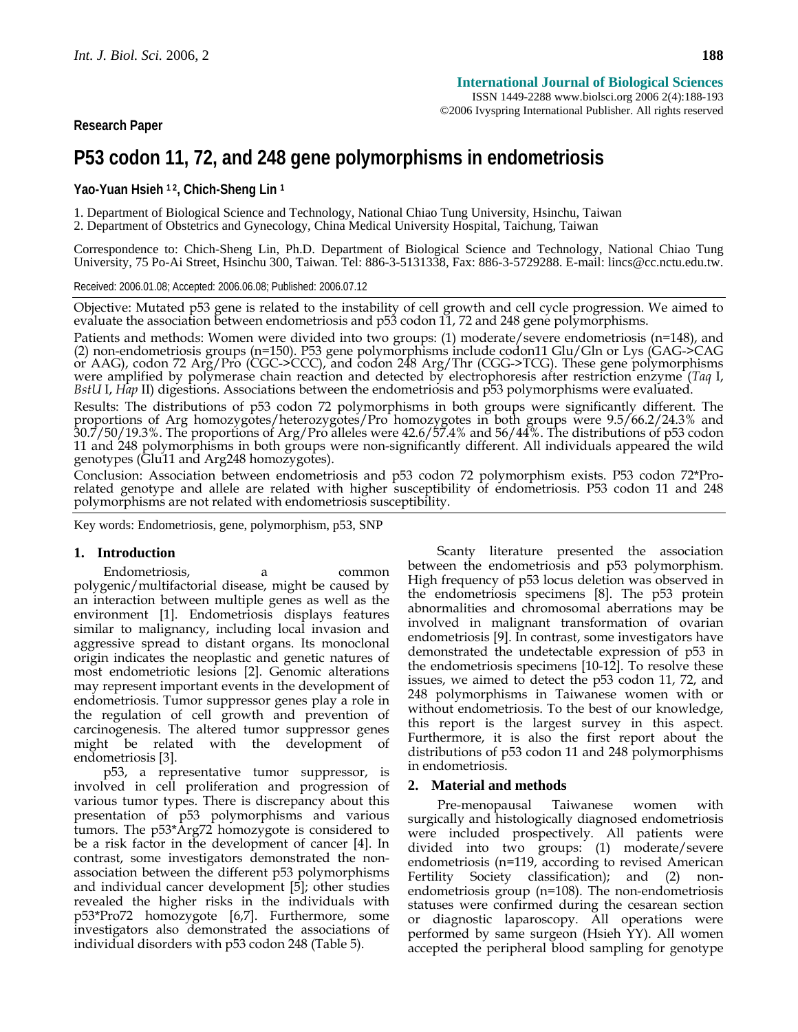**Research Paper** 

# **P53 codon 11, 72, and 248 gene polymorphisms in endometriosis**

Yao-Yuan Hsieh <sup>12</sup>, Chich-Sheng Lin<sup>1</sup>

1. Department of Biological Science and Technology, National Chiao Tung University, Hsinchu, Taiwan

2. Department of Obstetrics and Gynecology, China Medical University Hospital, Taichung, Taiwan

Correspondence to: Chich-Sheng Lin, Ph.D. Department of Biological Science and Technology, National Chiao Tung University, 75 Po-Ai Street, Hsinchu 300, Taiwan. Tel: 886-3-5131338, Fax: 886-3-5729288. E-mail: lincs@cc.nctu.edu.tw.

Received: 2006.01.08; Accepted: 2006.06.08; Published: 2006.07.12

Objective: Mutated p53 gene is related to the instability of cell growth and cell cycle progression. We aimed to evaluate the association between endometriosis and p53 codon 11, 72 and 248 gene polymorphisms.

Patients and methods: Women were divided into two groups: (1) moderate/severe endometriosis (n=148), and (2) non-endometriosis groups (n=150). P53 gene polymorphisms include codon11 Glu/Gln or Lys (GAG->CAG<br>or AAG), codon 72 Arg/Pro (CGC->CCC), and codon 248 Arg/Thr (CGG->TCG). These gene polymorphisms<br>were amplified by polym *BstU* I, *Hap* II) digestions. Associations between the endometriosis and p53 polymorphisms were evaluated.

Results: The distributions of p53 codon 72 polymorphisms in both groups were significantly different. The proportions of Arg homozygotes/heterozygotes/Pro homozygotes in both groups were 9.5/66.2/24.3% and 30.7/50/19.3%. The proportions of Arg/Pro alleles were 42.6/57.4% and 56/44%. The distributions of p53 codon 11 and 248 polymorphisms in both groups were non-significantly different. All individuals appeared the wild genotypes (Glu11 and Arg248 homozygotes).

Conclusion: Association between endometriosis and p53 codon 72 polymorphism exists. P53 codon 72\*Prorelated genotype and allele are related with higher susceptibility of endometriosis. P53 codon 11 and 248 polymorphisms are not related with endometriosis susceptibility.

Key words: Endometriosis, gene, polymorphism, p53, SNP

# **1. Introduction**

Endometriosis, a common polygenic/multifactorial disease, might be caused by an interaction between multiple genes as well as the environment [1]. Endometriosis displays features similar to malignancy, including local invasion and aggressive spread to distant organs. Its monoclonal origin indicates the neoplastic and genetic natures of most endometriotic lesions [2]. Genomic alterations may represent important events in the development of endometriosis. Tumor suppressor genes play a role in the regulation of cell growth and prevention of carcinogenesis. The altered tumor suppressor genes might be related with the development of endometriosis [3].

p53, a representative tumor suppressor, is involved in cell proliferation and progression of various tumor types. There is discrepancy about this presentation of p53 polymorphisms and various tumors. The p53\*Arg72 homozygote is considered to be a risk factor in the development of cancer [4]. In contrast, some investigators demonstrated the nonassociation between the different p53 polymorphisms and individual cancer development [5]; other studies revealed the higher risks in the individuals with p53\*Pro72 homozygote [6,7]. Furthermore, some investigators also demonstrated the associations of individual disorders with p53 codon 248 (Table 5).

Scanty literature presented the association between the endometriosis and p53 polymorphism. High frequency of p53 locus deletion was observed in the endometriosis specimens [8]. The p53 protein abnormalities and chromosomal aberrations may be involved in malignant transformation of ovarian endometriosis [9]. In contrast, some investigators have demonstrated the undetectable expression of p53 in the endometriosis specimens [10-12]. To resolve these issues, we aimed to detect the p53 codon 11, 72, and 248 polymorphisms in Taiwanese women with or without endometriosis. To the best of our knowledge, this report is the largest survey in this aspect. Furthermore, it is also the first report about the distributions of p53 codon 11 and 248 polymorphisms in endometriosis.

# **2. Material and methods**

Pre-menopausal Taiwanese women with surgically and histologically diagnosed endometriosis were included prospectively. All patients were divided into two groups: (1) moderate/severe endometriosis (n=119, according to revised American Fertility Society classification); and (2) nonendometriosis group (n=108). The non-endometriosis statuses were confirmed during the cesarean section or diagnostic laparoscopy. All operations were performed by same surgeon (Hsieh YY). All women accepted the peripheral blood sampling for genotype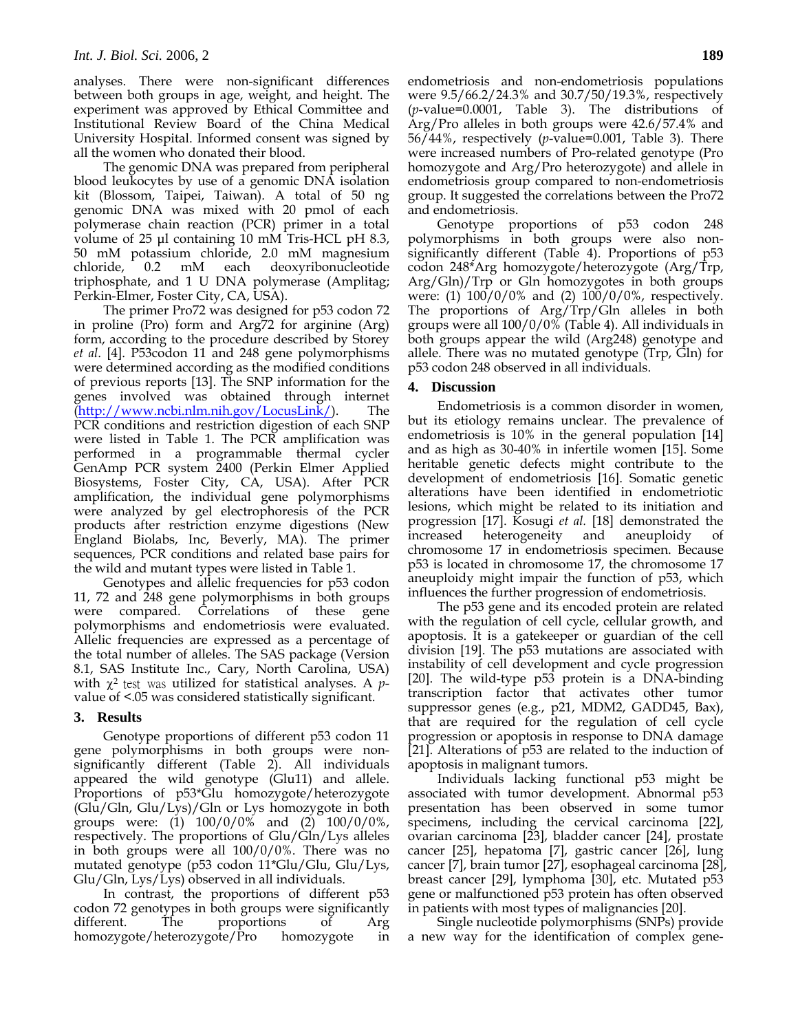analyses. There were non-significant differences between both groups in age, weight, and height. The experiment was approved by Ethical Committee and Institutional Review Board of the China Medical University Hospital. Informed consent was signed by all the women who donated their blood.

The genomic DNA was prepared from peripheral blood leukocytes by use of a genomic DNA isolation kit (Blossom, Taipei, Taiwan). A total of 50 ng genomic DNA was mixed with 20 pmol of each polymerase chain reaction (PCR) primer in a total volume of 25 μl containing 10 mM Tris-HCL pH 8.3, 50 mM potassium chloride, 2.0 mM magnesium chloride, 0.2 mM each deoxyribonucleotide triphosphate, and 1 U DNA polymerase (Amplitag; Perkin-Elmer, Foster City, CA, USA).

The primer Pro72 was designed for p53 codon 72 in proline (Pro) form and Arg72 for arginine (Arg) form, according to the procedure described by Storey *et al*. [4]. P53codon 11 and 248 gene polymorphisms were determined according as the modified conditions of previous reports [13]. The SNP information for the genes involved was obtained through internet (http://www.ncbi.nlm.nih.gov/LocusLink/). The PCR conditions and restriction digestion of each SNP were listed in Table 1. The PCR amplification was performed in a programmable thermal cycler GenAmp PCR system 2400 (Perkin Elmer Applied Biosystems, Foster City, CA, USA). After PCR amplification, the individual gene polymorphisms were analyzed by gel electrophoresis of the PCR products after restriction enzyme digestions (New England Biolabs, Inc, Beverly, MA). The primer sequences, PCR conditions and related base pairs for the wild and mutant types were listed in Table 1.

Genotypes and allelic frequencies for p53 codon 11, 72 and 248 gene polymorphisms in both groups were compared. Correlations of these gene polymorphisms and endometriosis were evaluated. Allelic frequencies are expressed as a percentage of the total number of alleles. The SAS package (Version 8.1, SAS Institute Inc., Cary, North Carolina, USA) with χ<sup>2</sup> test was utilized for statistical analyses. A *p*value of <.05 was considered statistically significant.

# **3. Results**

Genotype proportions of different p53 codon 11 gene polymorphisms in both groups were nonsignificantly different (Table 2). All individuals appeared the wild genotype (Glu11) and allele. Proportions of p53\*Glu homozygote/heterozygote (Glu/Gln, Glu/Lys)/Gln or Lys homozygote in both groups were: (1) 100/0/0% and (2) 100/0/0%, respectively. The proportions of Glu/Gln/Lys alleles in both groups were all 100/0/0%. There was no mutated genotype (p53 codon 11\*Glu/Glu, Glu/Lys, Glu/Gln, Lys/Lys) observed in all individuals.

In contrast, the proportions of different p53 codon 72 genotypes in both groups were significantly different. The proportions of Arg homozygote/heterozygote/Pro homozygote in endometriosis and non-endometriosis populations were 9.5/66.2/24.3% and 30.7/50/19.3%, respectively (*p*-value=0.0001, Table 3). The distributions of Arg/Pro alleles in both groups were 42.6/57.4% and 56/44%, respectively (*p*-value=0.001, Table 3). There were increased numbers of Pro-related genotype (Pro homozygote and Arg/Pro heterozygote) and allele in endometriosis group compared to non-endometriosis group. It suggested the correlations between the Pro72 and endometriosis.

Genotype proportions of p53 codon 248 polymorphisms in both groups were also nonsignificantly different (Table 4). Proportions of p53 codon 248\*Arg homozygote/heterozygote (Arg/Trp, Arg/Gln)/Trp or Gln homozygotes in both groups were: (1) 100/0/0% and (2) 100/0/0%, respectively. The proportions of Arg/Trp/Gln alleles in both groups were all 100/0/0% (Table 4). All individuals in both groups appear the wild (Arg248) genotype and allele. There was no mutated genotype (Trp, Gln) for p53 codon 248 observed in all individuals.

## **4. Discussion**

Endometriosis is a common disorder in women, but its etiology remains unclear. The prevalence of endometriosis is 10% in the general population [14] and as high as 30-40% in infertile women [15]. Some heritable genetic defects might contribute to the development of endometriosis [16]. Somatic genetic alterations have been identified in endometriotic lesions, which might be related to its initiation and progression [17]. Kosugi *et al.* [18] demonstrated the increased heterogeneity and aneuploidy of chromosome 17 in endometriosis specimen. Because p53 is located in chromosome 17, the chromosome 17 aneuploidy might impair the function of p53, which influences the further progression of endometriosis.

The p53 gene and its encoded protein are related with the regulation of cell cycle, cellular growth, and apoptosis. It is a gatekeeper or guardian of the cell division [19]. The p53 mutations are associated with instability of cell development and cycle progression [20]. The wild-type p53 protein is a DNA-binding transcription factor that activates other tumor suppressor genes (e.g., p21, MDM2, GADD45, Bax), that are required for the regulation of cell cycle progression or apoptosis in response to DNA damage [21]. Alterations of p53 are related to the induction of apoptosis in malignant tumors.

Individuals lacking functional p53 might be associated with tumor development. Abnormal p53 presentation has been observed in some tumor specimens, including the cervical carcinoma [22], ovarian carcinoma [23], bladder cancer [24], prostate cancer [25], hepatoma [7], gastric cancer [26], lung cancer [7], brain tumor [27], esophageal carcinoma [28], breast cancer [29], lymphoma [30], etc. Mutated p53 gene or malfunctioned p53 protein has often observed in patients with most types of malignancies [20].

Single nucleotide polymorphisms (SNPs) provide a new way for the identification of complex gene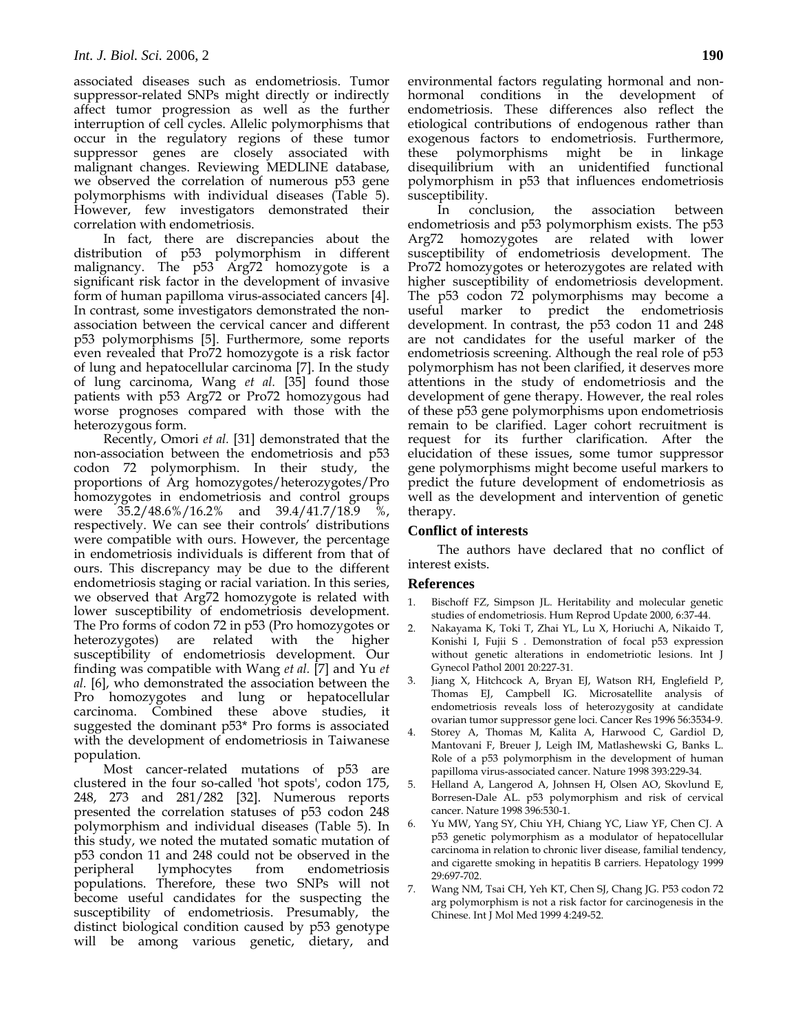associated diseases such as endometriosis. Tumor suppressor-related SNPs might directly or indirectly affect tumor progression as well as the further interruption of cell cycles. Allelic polymorphisms that occur in the regulatory regions of these tumor suppressor genes are closely associated with malignant changes. Reviewing MEDLINE database, we observed the correlation of numerous p53 gene polymorphisms with individual diseases (Table 5). However, few investigators demonstrated their correlation with endometriosis.

In fact, there are discrepancies about the distribution of p53 polymorphism in different malignancy. The p53 Arg72 homozygote is a significant risk factor in the development of invasive form of human papilloma virus-associated cancers [4]. In contrast, some investigators demonstrated the nonassociation between the cervical cancer and different p53 polymorphisms [5]. Furthermore, some reports even revealed that Pro72 homozygote is a risk factor of lung and hepatocellular carcinoma [7]. In the study of lung carcinoma, Wang *et al.* [35] found those patients with p53 Arg72 or Pro72 homozygous had worse prognoses compared with those with the heterozygous form.

Recently, Omori *et al.* [31] demonstrated that the non-association between the endometriosis and p53 codon 72 polymorphism. In their study, the proportions of Arg homozygotes/heterozygotes/Pro homozygotes in endometriosis and control groups were 35.2/48.6%/16.2% and 39.4/41.7/18.9 %, respectively. We can see their controls' distributions were compatible with ours. However, the percentage in endometriosis individuals is different from that of ours. This discrepancy may be due to the different endometriosis staging or racial variation. In this series, we observed that Arg72 homozygote is related with lower susceptibility of endometriosis development. The Pro forms of codon 72 in p53 (Pro homozygotes or heterozygotes) are related with the higher susceptibility of endometriosis development. Our finding was compatible with Wang *et al.* [7] and Yu *et al.* [6], who demonstrated the association between the Pro homozygotes and lung or hepatocellular carcinoma. Combined these above studies, it suggested the dominant p53\* Pro forms is associated with the development of endometriosis in Taiwanese population.

Most cancer-related mutations of p53 are clustered in the four so-called 'hot spots', codon 175, 248, 273 and 281/282 [32]. Numerous reports presented the correlation statuses of p53 codon 248 polymorphism and individual diseases (Table 5). In this study, we noted the mutated somatic mutation of p53 condon 11 and 248 could not be observed in the peripheral lymphocytes from endometriosis populations. Therefore, these two SNPs will not become useful candidates for the suspecting the susceptibility of endometriosis. Presumably, the distinct biological condition caused by p53 genotype will be among various genetic, dietary, and

environmental factors regulating hormonal and nonhormonal conditions in the development of endometriosis. These differences also reflect the etiological contributions of endogenous rather than exogenous factors to endometriosis. Furthermore, these polymorphisms might be in linkage disequilibrium with an unidentified functional polymorphism in p53 that influences endometriosis susceptibility.

In conclusion, the association between endometriosis and p53 polymorphism exists. The p53 Arg72 homozygotes are related with lower susceptibility of endometriosis development. The Pro72 homozygotes or heterozygotes are related with higher susceptibility of endometriosis development. The p53 codon 72 polymorphisms may become a useful marker to predict the endometriosis development. In contrast, the p53 codon 11 and 248 are not candidates for the useful marker of the endometriosis screening. Although the real role of p53 polymorphism has not been clarified, it deserves more attentions in the study of endometriosis and the development of gene therapy. However, the real roles of these p53 gene polymorphisms upon endometriosis remain to be clarified. Lager cohort recruitment is request for its further clarification. After the elucidation of these issues, some tumor suppressor gene polymorphisms might become useful markers to predict the future development of endometriosis as well as the development and intervention of genetic therapy.

## **Conflict of interests**

The authors have declared that no conflict of interest exists.

#### **References**

- 1. Bischoff FZ, Simpson JL. Heritability and molecular genetic studies of endometriosis. Hum Reprod Update 2000, 6:37-44.
- 2. Nakayama K, Toki T, Zhai YL, Lu X, Horiuchi A, Nikaido T, Konishi I, Fujii S . Demonstration of focal p53 expression without genetic alterations in endometriotic lesions. Int J Gynecol Pathol 2001 20:227-31.
- 3. Jiang X, Hitchcock A, Bryan EJ, Watson RH, Englefield P, Thomas EJ, Campbell IG. Microsatellite analysis of endometriosis reveals loss of heterozygosity at candidate ovarian tumor suppressor gene loci. Cancer Res 1996 56:3534-9.
- 4. Storey A, Thomas M, Kalita A, Harwood C, Gardiol D, Mantovani F, Breuer J, Leigh IM, Matlashewski G, Banks L. Role of a p53 polymorphism in the development of human papilloma virus-associated cancer. Nature 1998 393:229-34.
- 5. Helland A, Langerod A, Johnsen H, Olsen AO, Skovlund E, Borresen-Dale AL. p53 polymorphism and risk of cervical cancer. Nature 1998 396:530-1.
- Yu MW, Yang SY, Chiu YH, Chiang YC, Liaw YF, Chen CJ. A p53 genetic polymorphism as a modulator of hepatocellular carcinoma in relation to chronic liver disease, familial tendency, and cigarette smoking in hepatitis B carriers. Hepatology 1999 29:697-702.
- 7. Wang NM, Tsai CH, Yeh KT, Chen SJ, Chang JG. P53 codon 72 arg polymorphism is not a risk factor for carcinogenesis in the Chinese. Int J Mol Med 1999 4:249-52.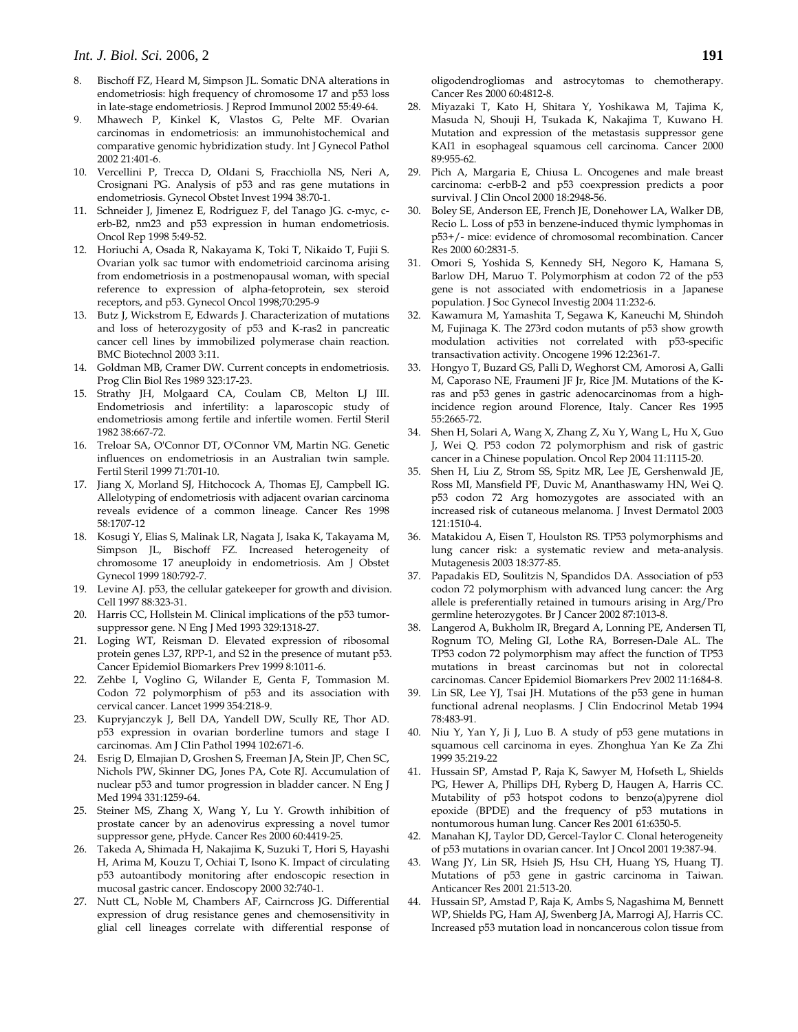- 8. Bischoff FZ, Heard M, Simpson JL. Somatic DNA alterations in endometriosis: high frequency of chromosome 17 and p53 loss in late-stage endometriosis. J Reprod Immunol 2002 55:49-64.
- 9. Mhawech P, Kinkel K, Vlastos G, Pelte MF. Ovarian carcinomas in endometriosis: an immunohistochemical and comparative genomic hybridization study. Int J Gynecol Pathol 2002 21:401-6.
- 10. Vercellini P, Trecca D, Oldani S, Fracchiolla NS, Neri A, Crosignani PG. Analysis of p53 and ras gene mutations in endometriosis. Gynecol Obstet Invest 1994 38:70-1.
- 11. Schneider J, Jimenez E, Rodriguez F, del Tanago JG. c-myc, cerb-B2, nm23 and p53 expression in human endometriosis. Oncol Rep 1998 5:49-52.
- 12. Horiuchi A, Osada R, Nakayama K, Toki T, Nikaido T, Fujii S. Ovarian yolk sac tumor with endometrioid carcinoma arising from endometriosis in a postmenopausal woman, with special reference to expression of alpha-fetoprotein, sex steroid receptors, and p53. Gynecol Oncol 1998;70:295-9
- 13. Butz J, Wickstrom E, Edwards J. Characterization of mutations and loss of heterozygosity of p53 and K-ras2 in pancreatic cancer cell lines by immobilized polymerase chain reaction. BMC Biotechnol 2003 3:11.
- 14. Goldman MB, Cramer DW. Current concepts in endometriosis. Prog Clin Biol Res 1989 323:17-23.
- 15. Strathy JH, Molgaard CA, Coulam CB, Melton LJ III. Endometriosis and infertility: a laparoscopic study of endometriosis among fertile and infertile women. Fertil Steril 1982 38:667-72.
- 16. Treloar SA, O'Connor DT, O'Connor VM, Martin NG. Genetic influences on endometriosis in an Australian twin sample. Fertil Steril 1999 71:701-10.
- 17. Jiang X, Morland SJ, Hitchocock A, Thomas EJ, Campbell IG. Allelotyping of endometriosis with adjacent ovarian carcinoma reveals evidence of a common lineage. Cancer Res 1998 58:1707-12
- 18. Kosugi Y, Elias S, Malinak LR, Nagata J, Isaka K, Takayama M, Simpson JL, Bischoff FZ. Increased heterogeneity of chromosome 17 aneuploidy in endometriosis. Am J Obstet Gynecol 1999 180:792-7.
- 19. Levine AJ. p53, the cellular gatekeeper for growth and division. Cell 1997 88:323-31.
- 20. Harris CC, Hollstein M. Clinical implications of the p53 tumorsuppressor gene. N Eng J Med 1993 329:1318-27.
- 21. Loging WT, Reisman D. Elevated expression of ribosomal protein genes L37, RPP-1, and S2 in the presence of mutant p53. Cancer Epidemiol Biomarkers Prev 1999 8:1011-6.
- 22. Zehbe I, Voglino G, Wilander E, Genta F, Tommasion M. Codon 72 polymorphism of p53 and its association with cervical cancer. Lancet 1999 354:218-9.
- 23. Kupryjanczyk J, Bell DA, Yandell DW, Scully RE, Thor AD. p53 expression in ovarian borderline tumors and stage I carcinomas. Am J Clin Pathol 1994 102:671-6.
- 24. Esrig D, Elmajian D, Groshen S, Freeman JA, Stein JP, Chen SC, Nichols PW, Skinner DG, Jones PA, Cote RJ. Accumulation of nuclear p53 and tumor progression in bladder cancer. N Eng J Med 1994 331:1259-64.
- 25. Steiner MS, Zhang X, Wang Y, Lu Y. Growth inhibition of prostate cancer by an adenovirus expressing a novel tumor suppressor gene, pHyde. Cancer Res 2000 60:4419-25.
- 26. Takeda A, Shimada H, Nakajima K, Suzuki T, Hori S, Hayashi H, Arima M, Kouzu T, Ochiai T, Isono K. Impact of circulating p53 autoantibody monitoring after endoscopic resection in mucosal gastric cancer. Endoscopy 2000 32:740-1.
- 27. Nutt CL, Noble M, Chambers AF, Cairncross JG. Differential expression of drug resistance genes and chemosensitivity in glial cell lineages correlate with differential response of

oligodendrogliomas and astrocytomas to chemotherapy. Cancer Res 2000 60:4812-8.

- 28. Miyazaki T, Kato H, Shitara Y, Yoshikawa M, Tajima K, Masuda N, Shouji H, Tsukada K, Nakajima T, Kuwano H. Mutation and expression of the metastasis suppressor gene KAI1 in esophageal squamous cell carcinoma. Cancer 2000 89:955-62.
- 29. Pich A, Margaria E, Chiusa L. Oncogenes and male breast carcinoma: c-erbB-2 and p53 coexpression predicts a poor survival. J Clin Oncol 2000 18:2948-56.
- 30. Boley SE, Anderson EE, French JE, Donehower LA, Walker DB, Recio L. Loss of p53 in benzene-induced thymic lymphomas in p53+/- mice: evidence of chromosomal recombination. Cancer Res 2000 60:2831-5.
- 31. Omori S, Yoshida S, Kennedy SH, Negoro K, Hamana S, Barlow DH, Maruo T. Polymorphism at codon 72 of the p53 gene is not associated with endometriosis in a Japanese population. J Soc Gynecol Investig 2004 11:232-6.
- 32. Kawamura M, Yamashita T, Segawa K, Kaneuchi M, Shindoh M, Fujinaga K. The 273rd codon mutants of p53 show growth modulation activities not correlated with p53-specific transactivation activity. Oncogene 1996 12:2361-7.
- 33. Hongyo T, Buzard GS, Palli D, Weghorst CM, Amorosi A, Galli M, Caporaso NE, Fraumeni JF Jr, Rice JM. Mutations of the Kras and p53 genes in gastric adenocarcinomas from a highincidence region around Florence, Italy. Cancer Res 1995 55:2665-72.
- 34. Shen H, Solari A, Wang X, Zhang Z, Xu Y, Wang L, Hu X, Guo J, Wei Q. P53 codon 72 polymorphism and risk of gastric cancer in a Chinese population. Oncol Rep 2004 11:1115-20.
- 35. Shen H, Liu Z, Strom SS, Spitz MR, Lee JE, Gershenwald JE, Ross MI, Mansfield PF, Duvic M, Ananthaswamy HN, Wei Q. p53 codon 72 Arg homozygotes are associated with an increased risk of cutaneous melanoma. J Invest Dermatol 2003 121:1510-4.
- 36. Matakidou A, Eisen T, Houlston RS. TP53 polymorphisms and lung cancer risk: a systematic review and meta-analysis. Mutagenesis 2003 18:377-85.
- 37. Papadakis ED, Soulitzis N, Spandidos DA. Association of p53 codon 72 polymorphism with advanced lung cancer: the Arg allele is preferentially retained in tumours arising in Arg/Pro germline heterozygotes. Br J Cancer 2002 87:1013-8.
- 38. Langerod A, Bukholm IR, Bregard A, Lonning PE, Andersen TI, Rognum TO, Meling GI, Lothe RA, Borresen-Dale AL. The TP53 codon 72 polymorphism may affect the function of TP53 mutations in breast carcinomas but not in colorectal carcinomas. Cancer Epidemiol Biomarkers Prev 2002 11:1684-8.
- 39. Lin SR, Lee YJ, Tsai JH. Mutations of the p53 gene in human functional adrenal neoplasms. J Clin Endocrinol Metab 1994 78:483-91.
- 40. Niu Y, Yan Y, Ji J, Luo B. A study of p53 gene mutations in squamous cell carcinoma in eyes. Zhonghua Yan Ke Za Zhi 1999 35:219-22
- 41. Hussain SP, Amstad P, Raja K, Sawyer M, Hofseth L, Shields PG, Hewer A, Phillips DH, Ryberg D, Haugen A, Harris CC. Mutability of p53 hotspot codons to benzo(a)pyrene diol epoxide (BPDE) and the frequency of p53 mutations in nontumorous human lung. Cancer Res 2001 61:6350-5.
- 42. Manahan KJ, Taylor DD, Gercel-Taylor C. Clonal heterogeneity of p53 mutations in ovarian cancer. Int J Oncol 2001 19:387-94.
- 43. Wang JY, Lin SR, Hsieh JS, Hsu CH, Huang YS, Huang TJ. Mutations of p53 gene in gastric carcinoma in Taiwan. Anticancer Res 2001 21:513-20.
- 44. Hussain SP, Amstad P, Raja K, Ambs S, Nagashima M, Bennett WP, Shields PG, Ham AJ, Swenberg JA, Marrogi AJ, Harris CC. Increased p53 mutation load in noncancerous colon tissue from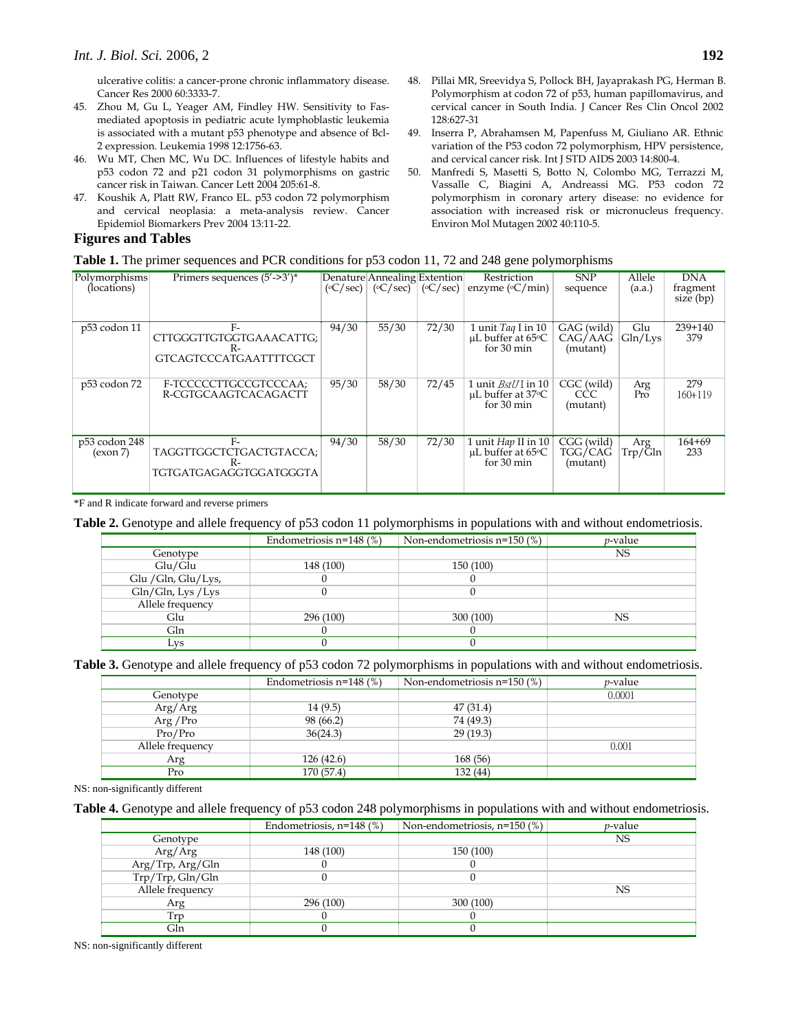ulcerative colitis: a cancer-prone chronic inflammatory disease. Cancer Res 2000 60:3333-7.

- 45. Zhou M, Gu L, Yeager AM, Findley HW. Sensitivity to Fasmediated apoptosis in pediatric acute lymphoblastic leukemia is associated with a mutant p53 phenotype and absence of Bcl-2 expression. Leukemia 1998 12:1756-63.
- 46. Wu MT, Chen MC, Wu DC. Influences of lifestyle habits and p53 codon 72 and p21 codon 31 polymorphisms on gastric cancer risk in Taiwan. Cancer Lett 2004 205:61-8.
- 47. Koushik A, Platt RW, Franco EL. p53 codon 72 polymorphism and cervical neoplasia: a meta-analysis review. Cancer Epidemiol Biomarkers Prev 2004 13:11-22.

## **Figures and Tables**

- 48. Pillai MR, Sreevidya S, Pollock BH, Jayaprakash PG, Herman B. Polymorphism at codon 72 of p53, human papillomavirus, and cervical cancer in South India. J Cancer Res Clin Oncol 2002 128:627-31
- 49. Inserra P, Abrahamsen M, Papenfuss M, Giuliano AR. Ethnic variation of the P53 codon 72 polymorphism, HPV persistence, and cervical cancer risk. Int J STD AIDS 2003 14:800-4.
- 50. Manfredi S, Masetti S, Botto N, Colombo MG, Terrazzi M, Vassalle C, Biagini A, Andreassi MG. P53 codon 72 polymorphism in coronary artery disease: no evidence for association with increased risk or micronucleus frequency. Environ Mol Mutagen 2002 40:110-5.

| Table 1. The primer sequences and PCR conditions for p53 codon 11, 72 and 248 gene polymorphisms |  |  |  |  |  |  |  |  |
|--------------------------------------------------------------------------------------------------|--|--|--|--|--|--|--|--|
|--------------------------------------------------------------------------------------------------|--|--|--|--|--|--|--|--|

| Polymorphisms<br>(locations) | Primers sequences $(5'-3')^*$                                            |       | Denature Annealing Extention<br>$({\rm ^\circ C/sec})$ ( ${\rm ^\circ C/sec})$ ( ${\rm ^\circ C/sec}$ ) |       | Restriction<br>enzyme ( $\rm{C/min}$ )                                               | <b>SNP</b><br>sequence            | Allele<br>(a.a.) | <b>DNA</b><br>fragment<br>size (bp) |
|------------------------------|--------------------------------------------------------------------------|-------|---------------------------------------------------------------------------------------------------------|-------|--------------------------------------------------------------------------------------|-----------------------------------|------------------|-------------------------------------|
| p53 codon 11                 | $F-$<br>CTTGGGTTGTGGTGAAACATTG;<br>$R-$<br><b>GTCAGTCCCATGAATTTTCGCT</b> | 94/30 | 55/30                                                                                                   | 72/30 | 1 unit $Taq$ I in 10<br>$\mu$ L buffer at 65 $\circ$ C<br>for 30 min                 | GAG (wild)<br>CAG/AAG<br>(mutant) | Glu<br>Gln/Lvs   | $239+140$<br>379                    |
| p53 codon 72                 | F-TCCCCCTTGCCGTCCCAA;<br>R-CGTGCAAGTCACAGACTT                            | 95/30 | 58/30                                                                                                   | 72/45 | 1 unit $BstU$ in 10<br>$\mu$ L buffer at 37 $\circ$ C<br>for $30 \text{ min}$        | CGC (wild)<br>CCC.<br>(mutant)    | Arg<br>Pro       | 279<br>$160 + 119$                  |
| p53 codon 248<br>(exon 7)    | $F-$<br>TAGGTTGGCTCTGACTGTACCA;<br>$R-$<br>TGTGATGAGAGGTGGATGGGTA        | 94/30 | 58/30                                                                                                   | 72/30 | 1 unit <i>Hap</i> II in 10<br>$\mu$ L buffer at 65 $\circ$ C<br>for $30 \text{ min}$ | CGG (wild)<br>TGG/CAG<br>(mutant) | Arg<br>Trp/Gln   | $164 + 69$<br>233                   |

\*F and R indicate forward and reverse primers

# **Table 2.** Genotype and allele frequency of p53 codon 11 polymorphisms in populations with and without endometriosis.

|                     | Endometriosis $n=148$ (%) | Non-endometriosis $n=150$ (%) | <i>p</i> -value |
|---------------------|---------------------------|-------------------------------|-----------------|
| Genotype            |                           |                               | NS              |
| Glu/Glu             | 148 (100)                 | 150 (100)                     |                 |
| Glu / Gln, Glu/Lys, |                           |                               |                 |
| Gln/Gln, Lys / Lys  |                           |                               |                 |
| Allele frequency    |                           |                               |                 |
| Glu                 | 296 (100)                 | 300 (100)                     | <b>NS</b>       |
| Gln                 |                           |                               |                 |
| Lys                 |                           |                               |                 |

### **Table 3.** Genotype and allele frequency of p53 codon 72 polymorphisms in populations with and without endometriosis.

|                  | Endometriosis $n=148$ (%) | Non-endometriosis $n=150$ (%) | <i>p</i> -value |
|------------------|---------------------------|-------------------------------|-----------------|
| Genotype         |                           |                               | 0.0001          |
| Arg/Arg          | 14(9.5)                   | 47(31.4)                      |                 |
| Arg / Pro        | 98 (66.2)                 | 74 (49.3)                     |                 |
| Pro/Pro          | 36(24.3)                  | 29(19.3)                      |                 |
| Allele frequency |                           |                               | 0.001           |
| Arg              | 126(42.6)                 | 168 (56)                      |                 |
| Pro              | 170 (57.4)                | 132 (44)                      |                 |

NS: non-significantly different

## **Table 4.** Genotype and allele frequency of p53 codon 248 polymorphisms in populations with and without endometriosis.

|                  | Endometriosis, $n=148$ (%) | Non-endometriosis, n=150 (%) | <i>p</i> -value |
|------------------|----------------------------|------------------------------|-----------------|
| Genotype         |                            |                              | NS              |
| Arg/Arg          | 148 (100)                  | 150 (100)                    |                 |
| Arg/Trp, Arg/Gln |                            |                              |                 |
| Trp/Trp, Gln/Gln |                            |                              |                 |
| Allele frequency |                            |                              | NS.             |
| Arg              | 296 (100)                  | 300 (100)                    |                 |
| l'rp             |                            |                              |                 |
| Gln              |                            |                              |                 |

NS: non-significantly different